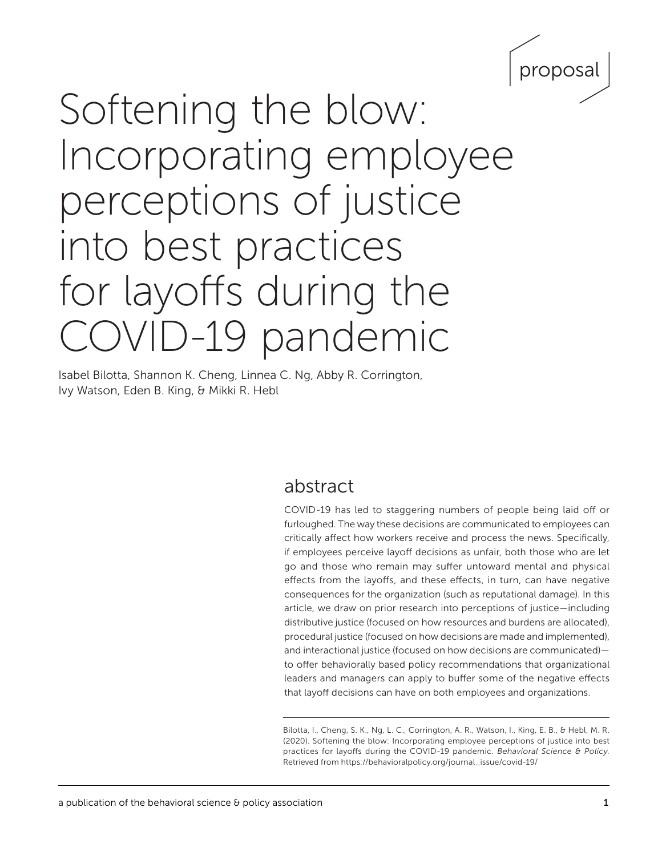

# Softening the blow: Incorporating employee perceptions of justice into best practices for layoffs during the COVID-19 pandemic

Isabel Bilotta, Shannon K. Cheng, Linnea C. Ng, Abby R. Corrington, Ivy Watson, Eden B. King, & Mikki R. Hebl

## abstract

COVID-19 has led to staggering numbers of people being laid off or furloughed. The way these decisions are communicated to employees can critically affect how workers receive and process the news. Specifically, if employees perceive layoff decisions as unfair, both those who are let go and those who remain may suffer untoward mental and physical effects from the layoffs, and these effects, in turn, can have negative consequences for the organization (such as reputational damage). In this article, we draw on prior research into perceptions of justice—including distributive justice (focused on how resources and burdens are allocated), procedural justice (focused on how decisions are made and implemented), and interactional justice (focused on how decisions are communicated) to offer behaviorally based policy recommendations that organizational leaders and managers can apply to buffer some of the negative effects that layoff decisions can have on both employees and organizations.

Bilotta, I., Cheng, S. K., Ng, L. C., Corrington, A. R., Watson, I., King, E. B., & Hebl, M. R. (2020). Softening the blow: Incorporating employee perceptions of justice into best practices for layoffs during the COVID-19 pandemic. *Behavioral Science & Policy.*  Retrieved from [https://behavioralpolicy.org/journal\\_issue/covid-19/](https://behavioralpolicy.org/journal_issue/covid-19/)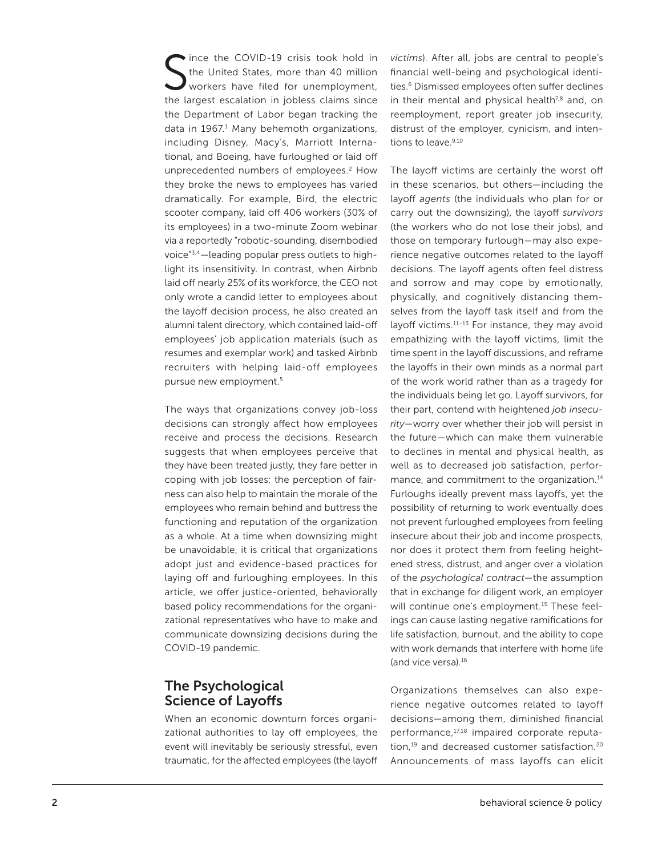S tince the COVID-19 crisis took hold in the United States, more than 40 million workers have filed for unemployment, the largest escalation in jobless claims since the Department of Labor began tracking the data in 1967.<sup>1</sup> Many behemoth organizations, including Disney, Macy's, Marriott International, and Boeing, have furloughed or laid off unprecedented numbers of employees.<sup>2</sup> How they broke the news to employees has varied dramatically. For example, Bird, the electric scooter company, laid off 406 workers (30% of its employees) in a two-minute Zoom webinar via a reportedly "robotic-sounding, disembodied voice"3,4—leading popular press outlets to highlight its insensitivity. In contrast, when Airbnb laid off nearly 25% of its workforce, the CEO not only wrote a candid letter to employees about the layoff decision process, he also created an alumni talent directory, which contained laid-off employees' job application materials (such as resumes and exemplar work) and tasked Airbnb recruiters with helping laid-off employees pursue new employment.5

The ways that organizations convey job-loss decisions can strongly affect how employees receive and process the decisions. Research suggests that when employees perceive that they have been treated justly, they fare better in coping with job losses; the perception of fairness can also help to maintain the morale of the employees who remain behind and buttress the functioning and reputation of the organization as a whole. At a time when downsizing might be unavoidable, it is critical that organizations adopt just and evidence-based practices for laying off and furloughing employees. In this article, we offer justice-oriented, behaviorally based policy recommendations for the organizational representatives who have to make and communicate downsizing decisions during the COVID-19 pandemic.

## The Psychological Science of Layoffs

When an economic downturn forces organizational authorities to lay off employees, the event will inevitably be seriously stressful, even traumatic, for the affected employees (the layoff

*victims*). After all, jobs are central to people's financial well-being and psychological identities.<sup>6</sup> Dismissed employees often suffer declines in their mental and physical health $7,8$  and, on reemployment, report greater job insecurity, distrust of the employer, cynicism, and intentions to leave.<sup>9,10</sup>

The layoff victims are certainly the worst off in these scenarios, but others—including the layoff *agents* (the individuals who plan for or carry out the downsizing), the layoff *survivors* (the workers who do not lose their jobs), and those on temporary furlough—may also experience negative outcomes related to the layoff decisions. The layoff agents often feel distress and sorrow and may cope by emotionally, physically, and cognitively distancing themselves from the layoff task itself and from the layoff victims.11–13 For instance, they may avoid empathizing with the layoff victims, limit the time spent in the layoff discussions, and reframe the layoffs in their own minds as a normal part of the work world rather than as a tragedy for the individuals being let go. Layoff survivors, for their part, contend with heightened *job insecurity—*worry over whether their job will persist in the future—which can make them vulnerable to declines in mental and physical health, as well as to decreased job satisfaction, performance, and commitment to the organization.<sup>14</sup> Furloughs ideally prevent mass layoffs, yet the possibility of returning to work eventually does not prevent furloughed employees from feeling insecure about their job and income prospects, nor does it protect them from feeling heightened stress, distrust, and anger over a violation of the *psychological contract*—the assumption that in exchange for diligent work, an employer will continue one's employment.<sup>15</sup> These feelings can cause lasting negative ramifications for life satisfaction, burnout, and the ability to cope with work demands that interfere with home life (and vice versa).16

Organizations themselves can also experience negative outcomes related to layoff decisions—among them, diminished financial performance,17,18 impaired corporate reputation,<sup>19</sup> and decreased customer satisfaction.<sup>20</sup> Announcements of mass layoffs can elicit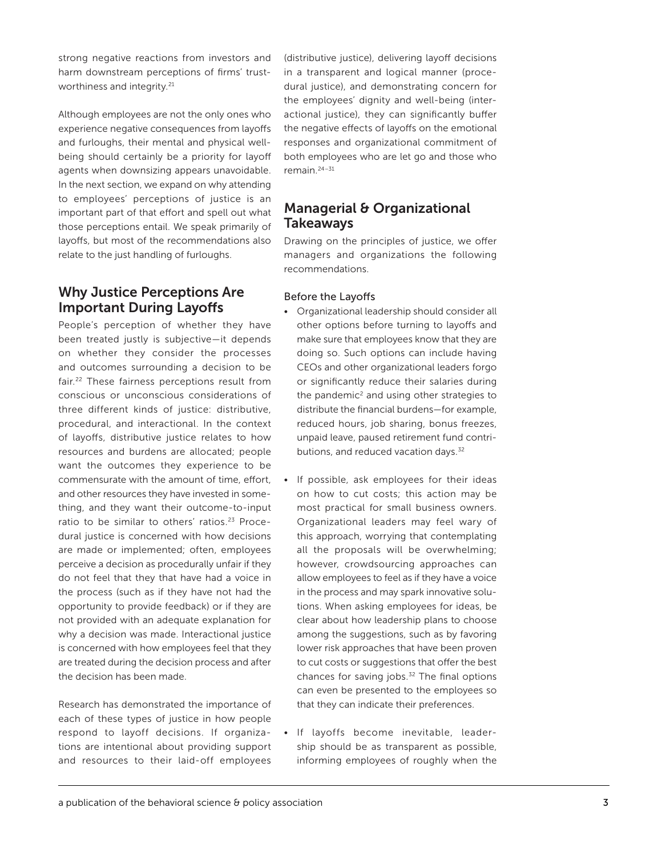strong negative reactions from investors and harm downstream perceptions of firms' trustworthiness and integrity.<sup>21</sup>

Although employees are not the only ones who experience negative consequences from layoffs and furloughs, their mental and physical wellbeing should certainly be a priority for layoff agents when downsizing appears unavoidable. In the next section, we expand on why attending to employees' perceptions of justice is an important part of that effort and spell out what those perceptions entail. We speak primarily of layoffs, but most of the recommendations also relate to the just handling of furloughs.

## Why Justice Perceptions Are Important During Layoffs

People's perception of whether they have been treated justly is subjective—it depends on whether they consider the processes and outcomes surrounding a decision to be fair.22 These fairness perceptions result from conscious or unconscious considerations of three different kinds of justice: distributive, procedural, and interactional. In the context of layoffs, distributive justice relates to how resources and burdens are allocated; people want the outcomes they experience to be commensurate with the amount of time, effort, and other resources they have invested in something, and they want their outcome-to-input ratio to be similar to others' ratios.<sup>23</sup> Procedural justice is concerned with how decisions are made or implemented; often, employees perceive a decision as procedurally unfair if they do not feel that they that have had a voice in the process (such as if they have not had the opportunity to provide feedback) or if they are not provided with an adequate explanation for why a decision was made. Interactional justice is concerned with how employees feel that they are treated during the decision process and after the decision has been made.

Research has demonstrated the importance of each of these types of justice in how people respond to layoff decisions. If organizations are intentional about providing support and resources to their laid-off employees

(distributive justice), delivering layoff decisions in a transparent and logical manner (procedural justice), and demonstrating concern for the employees' dignity and well-being (interactional justice), they can significantly buffer the negative effects of layoffs on the emotional responses and organizational commitment of both employees who are let go and those who remain.24–31

## Managerial & Organizational Takeaways

Drawing on the principles of justice, we offer managers and organizations the following recommendations.

#### Before the Layoffs

- Organizational leadership should consider all other options before turning to layoffs and make sure that employees know that they are doing so. Such options can include having CEOs and other organizational leaders forgo or significantly reduce their salaries during the pandemic $2$  and using other strategies to distribute the financial burdens—for example, reduced hours, job sharing, bonus freezes, unpaid leave, paused retirement fund contributions, and reduced vacation days.<sup>32</sup>
- If possible, ask employees for their ideas on how to cut costs; this action may be most practical for small business owners. Organizational leaders may feel wary of this approach, worrying that contemplating all the proposals will be overwhelming; however, crowdsourcing approaches can allow employees to feel as if they have a voice in the process and may spark innovative solutions. When asking employees for ideas, be clear about how leadership plans to choose among the suggestions, such as by favoring lower risk approaches that have been proven to cut costs or suggestions that offer the best chances for saving jobs.<sup>32</sup> The final options can even be presented to the employees so that they can indicate their preferences.
- If layoffs become inevitable, leadership should be as transparent as possible, informing employees of roughly when the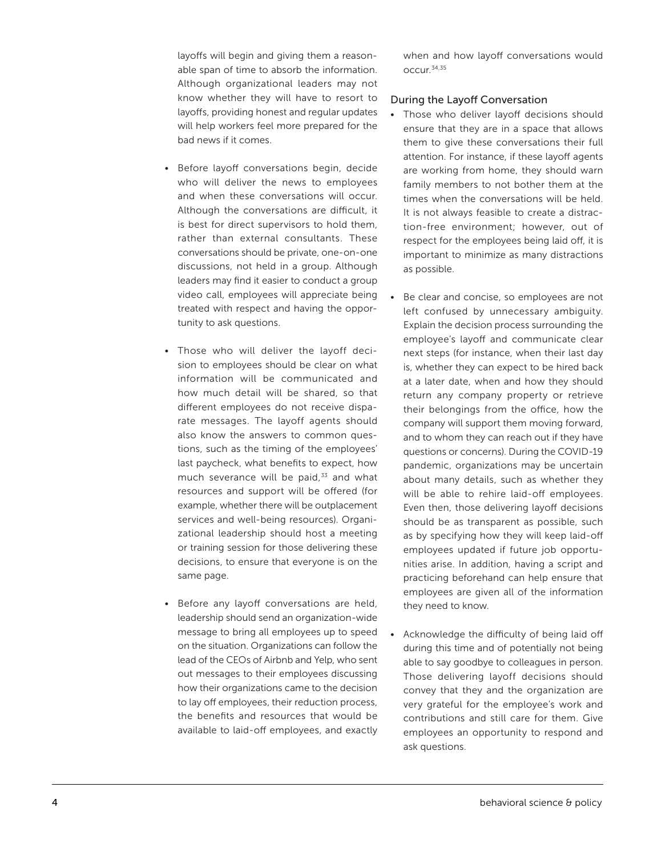layoffs will begin and giving them a reasonable span of time to absorb the information. Although organizational leaders may not know whether they will have to resort to layoffs, providing honest and regular updates will help workers feel more prepared for the bad news if it comes.

- Before layoff conversations begin, decide who will deliver the news to employees and when these conversations will occur. Although the conversations are difficult, it is best for direct supervisors to hold them, rather than external consultants. These conversations should be private, one-on-one discussions, not held in a group. Although leaders may find it easier to conduct a group video call, employees will appreciate being treated with respect and having the opportunity to ask questions.
- Those who will deliver the layoff decision to employees should be clear on what information will be communicated and how much detail will be shared, so that different employees do not receive disparate messages. The layoff agents should also know the answers to common questions, such as the timing of the employees' last paycheck, what benefits to expect, how much severance will be paid, $33$  and what resources and support will be offered (for example, whether there will be outplacement services and well-being resources). Organizational leadership should host a meeting or training session for those delivering these decisions, to ensure that everyone is on the same page.
- Before any layoff conversations are held, leadership should send an organization-wide message to bring all employees up to speed on the situation. Organizations can follow the lead of the CEOs of Airbnb and Yelp, who sent out messages to their employees discussing how their organizations came to the decision to lay off employees, their reduction process, the benefits and resources that would be available to laid-off employees, and exactly

when and how layoff conversations would occur.34,35

#### During the Layoff Conversation

- Those who deliver layoff decisions should ensure that they are in a space that allows them to give these conversations their full attention. For instance, if these layoff agents are working from home, they should warn family members to not bother them at the times when the conversations will be held. It is not always feasible to create a distraction-free environment; however, out of respect for the employees being laid off, it is important to minimize as many distractions as possible.
- Be clear and concise, so employees are not left confused by unnecessary ambiguity. Explain the decision process surrounding the employee's layoff and communicate clear next steps (for instance, when their last day is, whether they can expect to be hired back at a later date, when and how they should return any company property or retrieve their belongings from the office, how the company will support them moving forward, and to whom they can reach out if they have questions or concerns). During the COVID-19 pandemic, organizations may be uncertain about many details, such as whether they will be able to rehire laid-off employees. Even then, those delivering layoff decisions should be as transparent as possible, such as by specifying how they will keep laid-off employees updated if future job opportunities arise. In addition, having a script and practicing beforehand can help ensure that employees are given all of the information they need to know.
- Acknowledge the difficulty of being laid off during this time and of potentially not being able to say goodbye to colleagues in person. Those delivering layoff decisions should convey that they and the organization are very grateful for the employee's work and contributions and still care for them. Give employees an opportunity to respond and ask questions.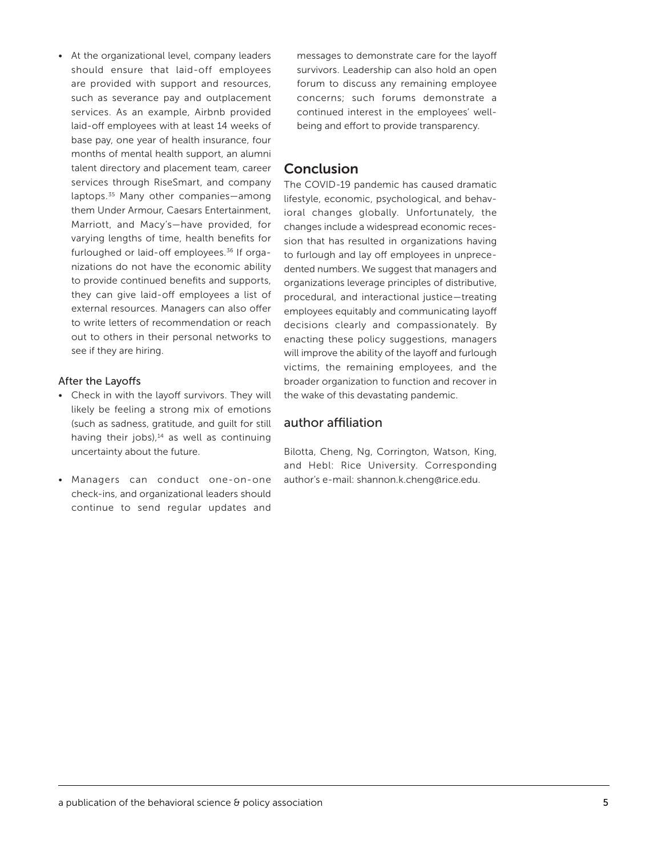• At the organizational level, company leaders should ensure that laid-off employees are provided with support and resources, such as severance pay and outplacement services. As an example, Airbnb provided laid-off employees with at least 14 weeks of base pay, one year of health insurance, four months of mental health support, an alumni talent directory and placement team, career services through RiseSmart, and company laptops.35 Many other companies—among them Under Armour, Caesars Entertainment, Marriott, and Macy's—have provided, for varying lengths of time, health benefits for furloughed or laid-off employees.36 If organizations do not have the economic ability to provide continued benefits and supports, they can give laid-off employees a list of external resources. Managers can also offer to write letters of recommendation or reach out to others in their personal networks to see if they are hiring.

#### After the Layoffs

- Check in with the layoff survivors. They will likely be feeling a strong mix of emotions (such as sadness, gratitude, and guilt for still having their jobs), $14$  as well as continuing uncertainty about the future.
- Managers can conduct one-on-one check-ins, and organizational leaders should continue to send regular updates and

messages to demonstrate care for the layoff survivors. Leadership can also hold an open forum to discuss any remaining employee concerns; such forums demonstrate a continued interest in the employees' wellbeing and effort to provide transparency.

## **Conclusion**

The COVID-19 pandemic has caused dramatic lifestyle, economic, psychological, and behavioral changes globally. Unfortunately, the changes include a widespread economic recession that has resulted in organizations having to furlough and lay off employees in unprecedented numbers. We suggest that managers and organizations leverage principles of distributive, procedural, and interactional justice—treating employees equitably and communicating layoff decisions clearly and compassionately. By enacting these policy suggestions, managers will improve the ability of the layoff and furlough victims, the remaining employees, and the broader organization to function and recover in the wake of this devastating pandemic.

#### author affiliation

Bilotta, Cheng, Ng, Corrington, Watson, King, and Hebl: Rice University. Corresponding author's e-mail: [shannon.k.cheng@rice.edu](mailto:shannon.k.cheng@rice.edu).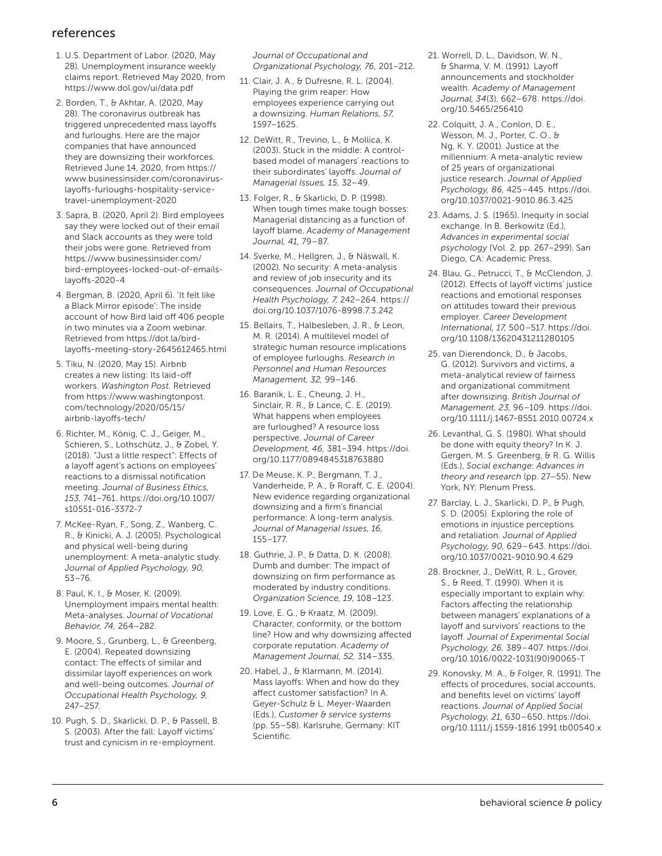### references

- 1. U.S. Department of Labor. (2020, May 28). Unemployment insurance weekly claims report. Retrieved May 2020, from <https://www.dol.gov/ui/data.pdf>
- 2. Borden, T., & Akhtar, A. (2020, May 28). The coronavirus outbreak has triggered unprecedented mass layoffs and furloughs. Here are the major companies that have announced they are downsizing their workforces. Retrieved June 14, 2020, from [https://](https://www.businessinsider.com/coronavirus-layoffs-furloughs-hospitality-service-travel-unemployment-2020 ) [www.businessinsider.com/coronavirus](https://www.businessinsider.com/coronavirus-layoffs-furloughs-hospitality-service-travel-unemployment-2020 )[layoffs-furloughs-hospitality-service](https://www.businessinsider.com/coronavirus-layoffs-furloughs-hospitality-service-travel-unemployment-2020 )[travel-unemployment-2020](https://www.businessinsider.com/coronavirus-layoffs-furloughs-hospitality-service-travel-unemployment-2020 )
- 3. Sapra, B. (2020, April 2). Bird employees say they were locked out of their email and Slack accounts as they were told their jobs were gone. Retrieved from [https://www.businessinsider.com/](https://www.businessinsider.com/bird-employees-locked-out-of-emails-layoffs-2020-4) [bird-employees-locked-out-of-emails](https://www.businessinsider.com/bird-employees-locked-out-of-emails-layoffs-2020-4)[layoffs-2020-4](https://www.businessinsider.com/bird-employees-locked-out-of-emails-layoffs-2020-4)
- 4. Bergman, B. (2020, April 6). 'It felt like a Black Mirror episode': The inside account of how Bird laid off 406 people in two minutes via a Zoom webinar. Retrieved from [https://dot.la/bird](https://dot.la/bird-layoffs-meeting-story-2645612465.html)[layoffs-meeting-story-2645612465.html](https://dot.la/bird-layoffs-meeting-story-2645612465.html)
- 5. Tiku, N. (2020, May 15). Airbnb creates a new listing: Its laid-off workers. *Washington Post.* Retrieved from [https://www.washingtonpost.](https://www.washingtonpost.com/technology/2020/05/15/airbnb-layoffs-tech/) [com/technology/2020/05/15/](https://www.washingtonpost.com/technology/2020/05/15/airbnb-layoffs-tech/) [airbnb-layoffs-tech/](https://www.washingtonpost.com/technology/2020/05/15/airbnb-layoffs-tech/)
- 6. Richter, M., König, C. J., Geiger, M., Schieren, S., Lothschütz, J., & Zobel, Y. (2018). "Just a little respect": Effects of a layoff agent's actions on employees' reactions to a dismissal notification meeting. *Journal of Business Ethics, 153,* 741–761. [https://doi.org/10.1007/](https://doi.org/10.1007/s10551-016-3372-7) [s10551-016-3372-7](https://doi.org/10.1007/s10551-016-3372-7)
- 7. McKee-Ryan, F., Song, Z., Wanberg, C. R., & Kinicki, A. J. (2005). Psychological and physical well-being during unemployment: A meta-analytic study. *Journal of Applied Psychology, 90,* 53–76.
- 8. Paul, K. I., & Moser, K. (2009). Unemployment impairs mental health: Meta-analyses. *Journal of Vocational Behavior, 74,* 264–282.
- 9. Moore, S., Grunberg, L., & Greenberg, E. (2004). Repeated downsizing contact: The effects of similar and dissimilar layoff experiences on work and well-being outcomes. *Journal of Occupational Health Psychology, 9,* 247–257.
- 10. Pugh, S. D., Skarlicki, D. P., & Passell, B. S. (2003). After the fall: Layoff victims' trust and cynicism in re-employment.

*Journal of Occupational and Organizational Psychology, 76,* 201–212.

- 11. Clair, J. A., & Dufresne, R. L. (2004). Playing the grim reaper: How employees experience carrying out a downsizing. *Human Relations, 57,*  1597–1625.
- 12. DeWitt, R., Trevino, L., & Mollica, K. (2003). Stuck in the middle: A controlbased model of managers' reactions to their subordinates' layoffs. *Journal of Managerial Issues, 15,* 32–49.
- 13. Folger, R., & Skarlicki, D. P. (1998). When tough times make tough bosses: Managerial distancing as a function of layoff blame. *Academy of Management Journal, 41,* 79–87.
- 14. Sverke, M., Hellgren, J., & Näswall, K. (2002). No security: A meta-analysis and review of job insecurity and its consequences. *Journal of Occupational Health Psychology, 7,* 242–264. [https://](https://doi.org/10.1037/1076-8998.7.3.242) [doi.org/10.1037/1076-8998.7.3.242](https://doi.org/10.1037/1076-8998.7.3.242)
- 15. Bellairs, T., Halbesleben, J. R., & Leon, M. R. (2014). A multilevel model of strategic human resource implications of employee furloughs. *Research in Personnel and Human Resources Management, 32,* 99–146.
- 16. Baranik, L. E., Cheung, J. H., Sinclair, R. R., & Lance, C. E. (2019). What happens when employees are furloughed? A resource loss perspective. *Journal of Career Development, 46,* 381–394. [https://doi.](https://doi.org/10.1177/0894845318763880) [org/10.1177/0894845318763880](https://doi.org/10.1177/0894845318763880)
- 17. De Meuse, K. P., Bergmann, T. J., Vanderheide, P. A., & Roraff, C. E. (2004). New evidence regarding organizational downsizing and a firm's financial performance: A long-term analysis. *Journal of Managerial Issues, 16,* 155–177.
- 18. Guthrie, J. P., & Datta, D. K. (2008). Dumb and dumber: The impact of downsizing on firm performance as moderated by industry conditions. *Organization Science, 19,* 108–123.
- 19. Love, E. G., & Kraatz, M. (2009). Character, conformity, or the bottom line? How and why downsizing affected corporate reputation. *Academy of Management Journal, 52,* 314–335.
- 20. Habel, J., & Klarmann, M. (2014). Mass layoffs: When and how do they affect customer satisfaction? In A. Geyer-Schulz & L. Meyer-Waarden (Eds.), *Customer & service systems* (pp. 55–58). Karlsruhe, Germany: KIT Scientific.
- 21. Worrell, D. L., Davidson, W. N., & Sharma, V. M. (1991). Layoff announcements and stockholder wealth. *Academy of Management Journal, 34*(3), 662–678. [https://doi.](https://doi.org/10.5465/256410) [org/10.5465/256410](https://doi.org/10.5465/256410)
- 22. Colquitt, J. A., Conlon, D. E., Wesson, M. J., Porter, C. O., & Ng, K. Y. (2001). Justice at the millennium: A meta-analytic review of 25 years of organizational justice research. *Journal of Applied Psychology, 86,* 425–445. [https://doi.](https://doi.org/10.1037/0021-9010.86.3.425) [org/10.1037/0021-9010.86.3.425](https://doi.org/10.1037/0021-9010.86.3.425)
- 23. Adams, J. S. (1965). Inequity in social exchange. In B. Berkowitz (Ed.), *Advances in experimental social psychology* (Vol. 2, pp. 267–299). San Diego, CA: Academic Press.
- 24. Blau, G., Petrucci, T., & McClendon, J. (2012). Effects of layoff victims' justice reactions and emotional responses on attitudes toward their previous employer. *Career Development International, 17,* 500–517. [https://doi.](https://doi.org/10.1108/13620431211280105) [org/10.1108/13620431211280105](https://doi.org/10.1108/13620431211280105)
- 25. van Dierendonck, D., & Jacobs, G. (2012). Survivors and victims, a meta-analytical review of fairness and organizational commitment after downsizing. *British Journal of Management, 23,* 96–109. [https://doi.](https://doi.org/10.1111/j.1467-8551.2010.00724.x) [org/10.1111/j.1467-8551.2010.00724.x](https://doi.org/10.1111/j.1467-8551.2010.00724.x)
- 26. Levanthal, G. S. (1980). What should be done with equity theory? In K. J. Gergen, M. S. Greenberg, & R. G. Willis (Eds.), *Social exchange: Advances in theory and research* (pp. 27–55). New York, NY: Plenum Press.
- 27. Barclay, L. J., Skarlicki, D. P., & Pugh, S. D. (2005). Exploring the role of emotions in injustice perceptions and retaliation. *Journal of Applied Psychology, 90,* 629–643. [https://doi.](https://doi.org/10.1037/0021-9010.90.4.629) [org/10.1037/0021-9010.90.4.629](https://doi.org/10.1037/0021-9010.90.4.629)
- 28. Brockner, J., DeWitt, R. L., Grover, S., & Reed, T. (1990). When it is especially important to explain why: Factors affecting the relationship between managers' explanations of a layoff and survivors' reactions to the layoff. *Journal of Experimental Social Psychology, 26,* 389–407. [https://doi.](https://doi.org/10.1016/0022-1031(90)90065-T) [org/10.1016/0022-1031\(90\)90065-T](https://doi.org/10.1016/0022-1031(90)90065-T)
- 29. Konovsky, M. A., & Folger, R. (1991). The effects of procedures, social accounts, and benefits level on victims' layoff reactions. *Journal of Applied Social Psychology, 21,* 630–650. [https://doi.](https://doi.org/10.1111/j.1559-1816.1991.tb00540.x) [org/10.1111/j.1559-1816.1991.tb00540.x](https://doi.org/10.1111/j.1559-1816.1991.tb00540.x)